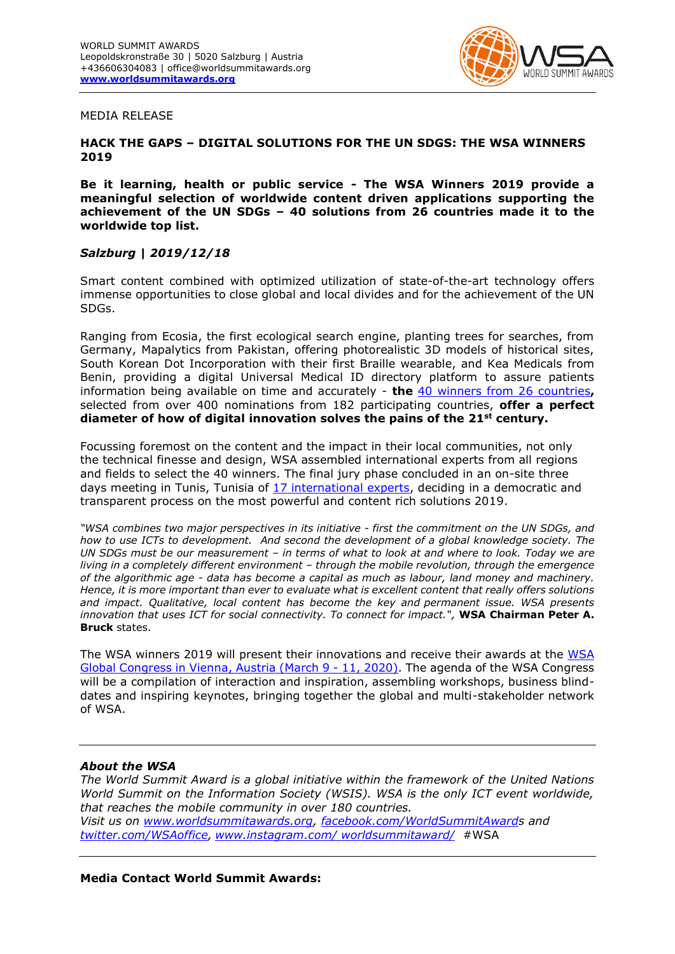

### MEDIA RELEASE

# **HACK THE GAPS – DIGITAL SOLUTIONS FOR THE UN SDGS: THE WSA WINNERS 2019**

**Be it learning, health or public service - The WSA Winners 2019 provide a meaningful selection of worldwide content driven applications supporting the achievement of the UN SDGs – 40 solutions from 26 countries made it to the worldwide top list.**

# *Salzburg | 2019/12/18*

Smart content combined with optimized utilization of state-of-the-art technology offers immense opportunities to close global and local divides and for the achievement of the UN SDGs.

Ranging from Ecosia, the first ecological search engine, planting trees for searches, from Germany, Mapalytics from Pakistan, offering photorealistic 3D models of historical sites, South Korean Dot Incorporation with their first Braille wearable, and Kea Medicals from Benin, providing a digital Universal Medical ID directory platform to assure patients information being available on time and accurately - **the** [40 winners from 26](https://www.worldsummitawards.org/2019/12/10/meet-the-40-winners-of-2019/) countries**,**  selected from over 400 nominations from 182 participating countries, **offer a perfect diameter of how of digital innovation solves the pains of the 21st century.** 

Focussing foremost on the content and the impact in their local communities, not only the technical finesse and design, WSA assembled international experts from all regions and fields to select the 40 winners. The final jury phase concluded in an on-site three days meeting in Tunis, Tunisia of 17 [international experts,](https://www.worldsummitawards.org/wsa-grand-jury-tunis-2019/) deciding in a democratic and transparent process on the most powerful and content rich solutions 2019.

*"WSA combines two major perspectives in its initiative - first the commitment on the UN SDGs, and how to use ICTs to development. And second the development of a global knowledge society. The UN SDGs must be our measurement – in terms of what to look at and where to look. Today we are living in a completely different environment – through the mobile revolution, through the emergence of the algorithmic age - data has become a capital as much as labour, land money and machinery. Hence, it is more important than ever to evaluate what is excellent content that really offers solutions and impact. Qualitative, local content has become the key and permanent issue. WSA presents innovation that uses ICT for social connectivity. To connect for impact.",* **WSA Chairman Peter A. Bruck** states.

The WSA winners 2019 will present their innovations and receive their awards at the [WSA](https://www.worldsummitawards.org/wsa-global-congress-2020-vienna/)  [Global Congress in Vienna, Austria](https://www.worldsummitawards.org/wsa-global-congress-2020-vienna/) (March 9 - 11, 2020). The agenda of the WSA Congress will be a compilation of interaction and inspiration, assembling workshops, business blinddates and inspiring keynotes, bringing together the global and multi-stakeholder network of WSA.

# *About the WSA*

*The World Summit Award is a global initiative within the framework of the United Nations World Summit on the Information Society (WSIS). WSA is the only ICT event worldwide, that reaches the mobile community in over 180 countries. Visit us on [www.worldsummitawards.org,](http://www.worldsummitawards.org/) [facebook.com/WorldSummitAwards](http://www.facebook.com/WorldSummitAward) and [twitter.com/WSAoffice,](https://twitter.com/#!/wsaoffice) [www.instagram.com/ worldsummitaward/](http://www.instagram.com/%20worldsummitaward/)* [#WSA](https://www.facebook.com/hashtag/wsa?source=note)

### **Media Contact World Summit Awards:**